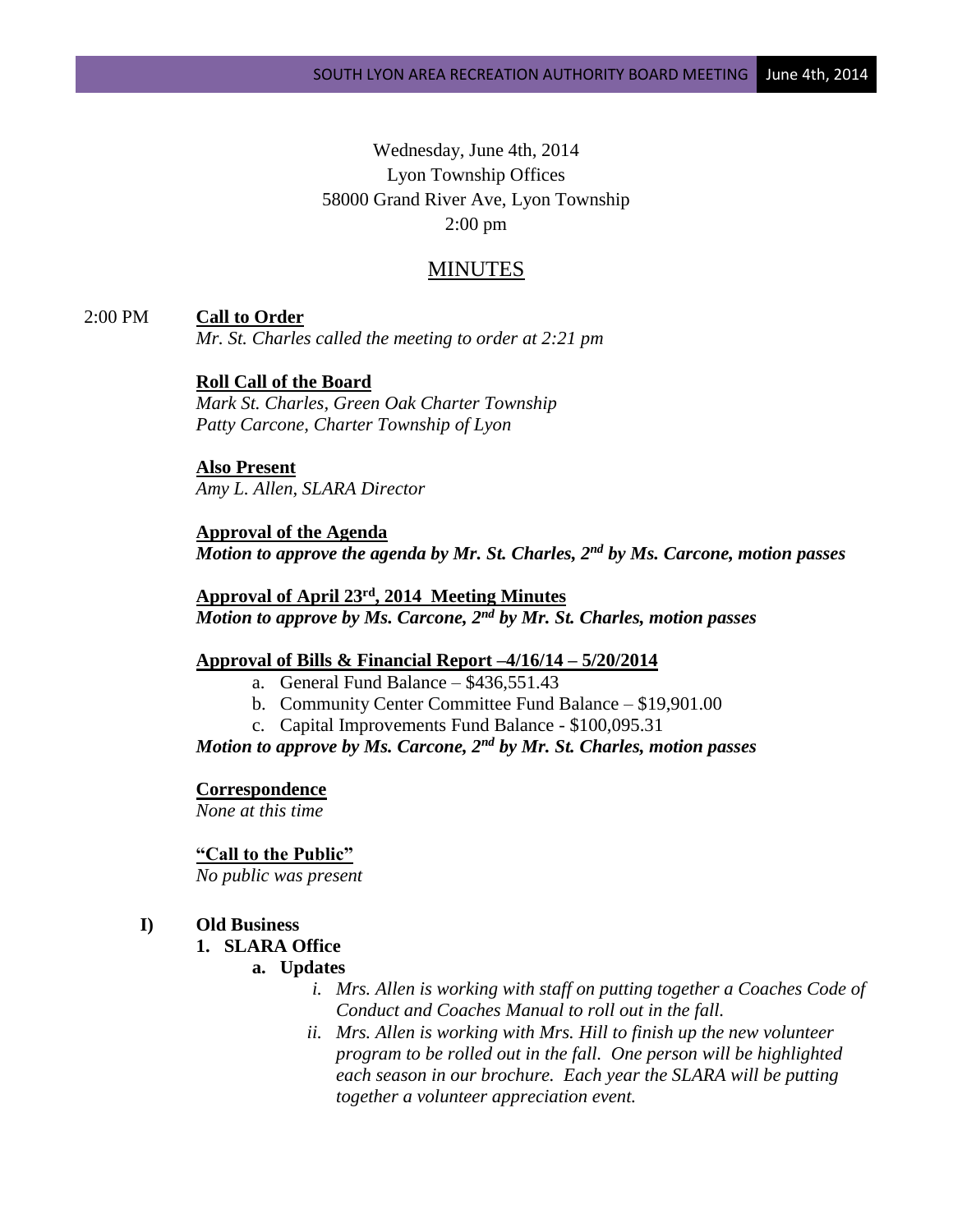# Wednesday, June 4th, 2014 Lyon Township Offices 58000 Grand River Ave, Lyon Township 2:00 pm

## MINUTES

2:00 PM **Call to Order**

*Mr. St. Charles called the meeting to order at 2:21 pm*

## **Roll Call of the Board**

*Mark St. Charles, Green Oak Charter Township Patty Carcone, Charter Township of Lyon*

**Also Present** *Amy L. Allen, SLARA Director*

**Approval of the Agenda** *Motion to approve the agenda by Mr. St. Charles, 2nd by Ms. Carcone, motion passes*

**Approval of April 23rd, 2014 Meeting Minutes** *Motion to approve by Ms. Carcone, 2nd by Mr. St. Charles, motion passes*

## **Approval of Bills & Financial Report –4/16/14 – 5/20/2014**

- a. General Fund Balance \$436,551.43
- b. Community Center Committee Fund Balance \$19,901.00
- c. Capital Improvements Fund Balance \$100,095.31

*Motion to approve by Ms. Carcone, 2nd by Mr. St. Charles, motion passes*

#### **Correspondence**

*None at this time*

#### **"Call to the Public"**

*No public was present*

## **I) Old Business**

## **1. SLARA Office**

#### **a. Updates**

- *i. Mrs. Allen is working with staff on putting together a Coaches Code of Conduct and Coaches Manual to roll out in the fall.*
- *ii. Mrs. Allen is working with Mrs. Hill to finish up the new volunteer program to be rolled out in the fall. One person will be highlighted each season in our brochure. Each year the SLARA will be putting together a volunteer appreciation event.*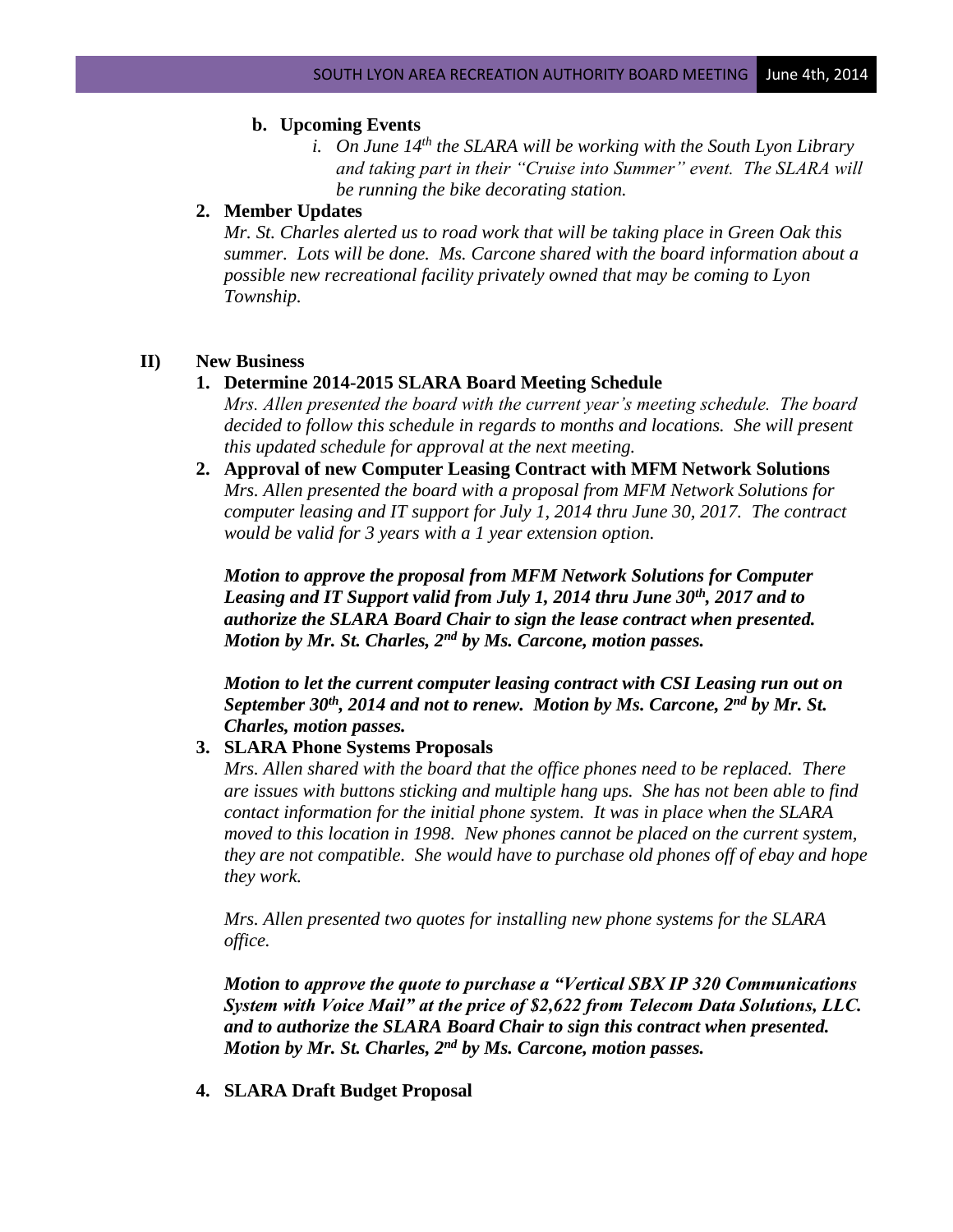#### **b. Upcoming Events**

*i. On June 14th the SLARA will be working with the South Lyon Library and taking part in their "Cruise into Summer" event. The SLARA will be running the bike decorating station.*

## **2. Member Updates**

*Mr. St. Charles alerted us to road work that will be taking place in Green Oak this summer. Lots will be done. Ms. Carcone shared with the board information about a possible new recreational facility privately owned that may be coming to Lyon Township.*

#### **II) New Business**

#### **1. Determine 2014-2015 SLARA Board Meeting Schedule**

- *Mrs. Allen presented the board with the current year's meeting schedule. The board decided to follow this schedule in regards to months and locations. She will present this updated schedule for approval at the next meeting.*
- **2. Approval of new Computer Leasing Contract with MFM Network Solutions** *Mrs. Allen presented the board with a proposal from MFM Network Solutions for computer leasing and IT support for July 1, 2014 thru June 30, 2017. The contract would be valid for 3 years with a 1 year extension option.*

*Motion to approve the proposal from MFM Network Solutions for Computer Leasing and IT Support valid from July 1, 2014 thru June 30th, 2017 and to authorize the SLARA Board Chair to sign the lease contract when presented. Motion by Mr. St. Charles, 2nd by Ms. Carcone, motion passes.*

*Motion to let the current computer leasing contract with CSI Leasing run out on September 30th, 2014 and not to renew. Motion by Ms. Carcone, 2nd by Mr. St. Charles, motion passes.*

#### **3. SLARA Phone Systems Proposals**

*Mrs. Allen shared with the board that the office phones need to be replaced. There are issues with buttons sticking and multiple hang ups. She has not been able to find contact information for the initial phone system. It was in place when the SLARA moved to this location in 1998. New phones cannot be placed on the current system, they are not compatible. She would have to purchase old phones off of ebay and hope they work.*

*Mrs. Allen presented two quotes for installing new phone systems for the SLARA office.* 

*Motion to approve the quote to purchase a "Vertical SBX IP 320 Communications System with Voice Mail" at the price of \$2,622 from Telecom Data Solutions, LLC. and to authorize the SLARA Board Chair to sign this contract when presented. Motion by Mr. St. Charles, 2nd by Ms. Carcone, motion passes.*

**4. SLARA Draft Budget Proposal**